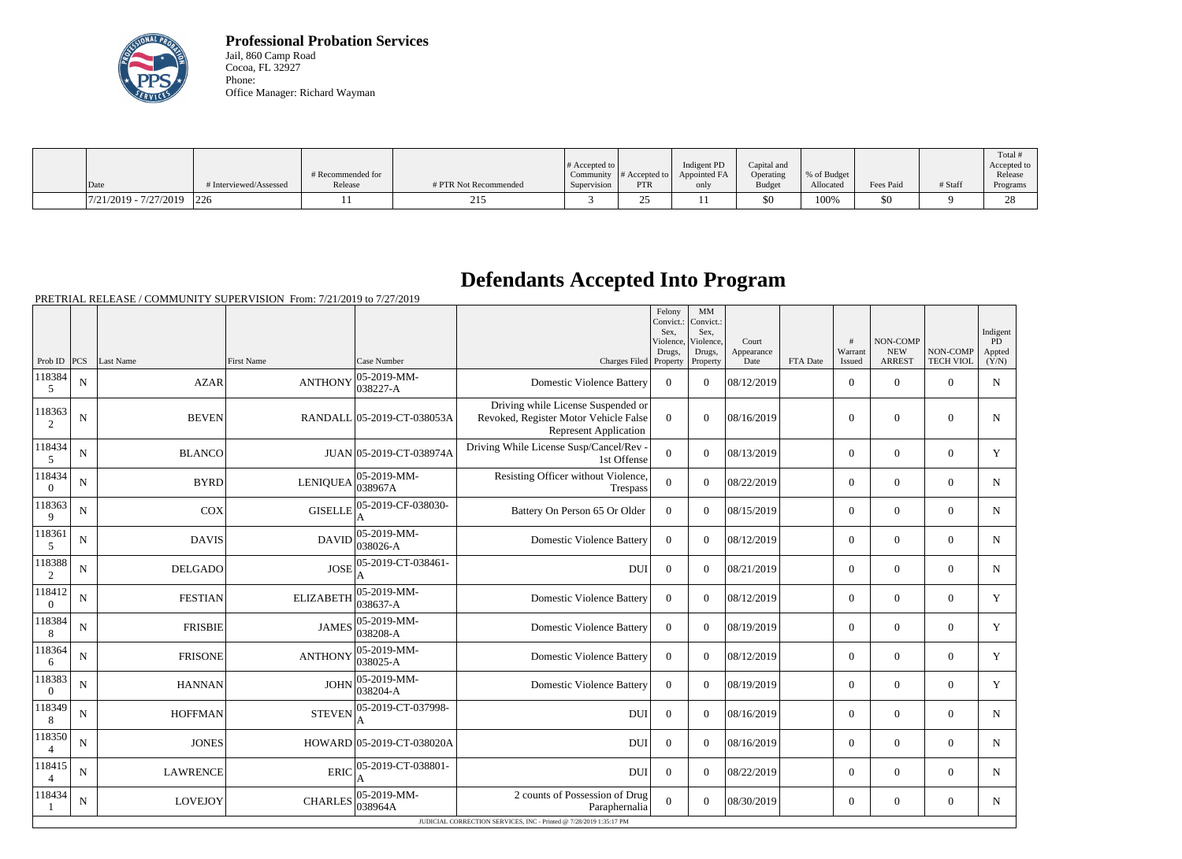

**Professional Probation Services** Jail, 860 Camp Road Cocoa, FL 32927 Phone: Office Manager: Richard Wayman

|                          |                        |                              |                       | $\#$ Accepted to         |                                          | Indigent PD          | Capital and                |                           |           |         | Total #<br>Accepted to |
|--------------------------|------------------------|------------------------------|-----------------------|--------------------------|------------------------------------------|----------------------|----------------------------|---------------------------|-----------|---------|------------------------|
| Date                     | # Interviewed/Assessed | # Recommended for<br>Release | # PTR Not Recommended | Community<br>Supervision | $#$ Accepted to $\upharpoonright$<br>PTR | Appointed FA<br>only | Operating<br><b>Budget</b> | \% of Budget<br>Allocated | Fees Paid | # Staff | Release<br>Programs    |
| $17/21/2019 - 7/27/2019$ | 226                    |                              | 215                   |                          | , .                                      |                      | \$0                        | 100%                      | 50        |         | 28                     |

## **Defendants Accepted Into Program**

PRETRIAL RELEASE / COMMUNITY SUPERVISION From: 7/21/2019 to 7/27/2019

|                          |             |                                                                    |                   |                                                              |                                                                                                             | Felony<br>Convict.:<br>Sex,<br>Violence, | MM<br>Convict.:<br>Sex,<br>Violence, | Court              |          | #                        | NON-COMP                    |                              | Indigent<br>PD  |
|--------------------------|-------------|--------------------------------------------------------------------|-------------------|--------------------------------------------------------------|-------------------------------------------------------------------------------------------------------------|------------------------------------------|--------------------------------------|--------------------|----------|--------------------------|-----------------------------|------------------------------|-----------------|
| Prob ID $ PCS $          |             | Last Name                                                          | <b>First Name</b> | Case Number                                                  | Charges Filed Property                                                                                      | Drugs,                                   | Drugs,<br>Property                   | Appearance<br>Date | FTA Date | Warrant<br><b>Issued</b> | <b>NEW</b><br><b>ARREST</b> | NON-COMP<br><b>TECH VIOL</b> | Appted<br>(Y/N) |
| 118384<br>5              | ${\bf N}$   | <b>AZAR</b>                                                        | <b>ANTHONY</b>    | $ 05-2019-MM-$<br>038227-A                                   | <b>Domestic Violence Battery</b>                                                                            | $\theta$                                 | $\Omega$                             | 08/12/2019         |          | $\overline{0}$           | $\theta$                    | $\Omega$                     | $\mathbf N$     |
| 118363<br>2              | N           | <b>BEVEN</b>                                                       |                   | RANDALL 05-2019-CT-038053A                                   | Driving while License Suspended or<br>Revoked, Register Motor Vehicle False<br><b>Represent Application</b> | $\theta$                                 | $\theta$                             | 08/16/2019         |          | $\overline{0}$           | $\theta$                    | $\overline{0}$               | N               |
| 118434<br>$\mathfrak{S}$ | ${\bf N}$   | <b>BLANCO</b>                                                      |                   | JUAN 05-2019-CT-038974A                                      | Driving While License Susp/Cancel/Rev -<br>1st Offense                                                      | $\overline{0}$                           | $\overline{0}$                       | 08/13/2019         |          | $\overline{0}$           | $\mathbf{0}$                | $\mathbf{0}$                 | Y               |
| 118434<br>$\overline{0}$ | $\mathbf N$ | <b>BYRD</b>                                                        | LENIQUEA          | $ 05-2019-MM-$<br>038967A                                    | Resisting Officer without Violence,<br>Trespass                                                             | $\overline{0}$                           | $\Omega$                             | 08/22/2019         |          | $\Omega$                 | $\theta$                    | $\Omega$                     | $\mathbf N$     |
| 118363<br>9              | ${\bf N}$   | COX                                                                | <b>GISELLE</b>    | 05-2019-CF-038030-<br>A                                      | Battery On Person 65 Or Older                                                                               | $\boldsymbol{0}$                         | $\Omega$                             | 08/15/2019         |          | $\overline{0}$           | $\Omega$                    | $\Omega$                     | $\mathbf N$     |
| 118361<br>5              | ${\bf N}$   | <b>DAVIS</b>                                                       | <b>DAVID</b>      | $ 05-2019-MM -$<br>038026-A                                  | <b>Domestic Violence Battery</b>                                                                            | $\mathbf{0}$                             | $\overline{0}$                       | 08/12/2019         |          | $\overline{0}$           | $\overline{0}$              | $\overline{0}$               | N               |
| 118388<br>2              | $\mathbf N$ | <b>DELGADO</b>                                                     | <b>JOSE</b>       | 05-2019-CT-038461-                                           | <b>DUI</b>                                                                                                  | $\Omega$                                 | $\Omega$                             | 08/21/2019         |          | $\overline{0}$           | $\theta$                    | $\overline{0}$               | $\mathbf N$     |
| 118412<br>$\Omega$       | ${\bf N}$   | <b>FESTIAN</b>                                                     | <b>ELIZABETH</b>  | $ 05 - 2019 - MM -$<br>038637-A                              | <b>Domestic Violence Battery</b>                                                                            | $\theta$                                 | $\Omega$                             | 08/12/2019         |          | $\overline{0}$           | $\mathbf{0}$                | $\overline{0}$               | Y               |
| 118384<br>8              | $\mathbf N$ | <b>FRISBIE</b>                                                     | <b>JAMES</b>      | 05-2019-MM-<br>038208-A                                      | <b>Domestic Violence Battery</b>                                                                            | $\theta$                                 | $\Omega$                             | 08/19/2019         |          | $\overline{0}$           | $\boldsymbol{0}$            | $\overline{0}$               | Y               |
| 118364<br>6              | ${\bf N}$   | <b>FRISONE</b>                                                     | <b>ANTHONY</b>    | 05-2019-MM-<br>038025-A                                      | <b>Domestic Violence Battery</b>                                                                            | $\mathbf{0}$                             | $\Omega$                             | 08/12/2019         |          | $\overline{0}$           | $\mathbf{0}$                | $\overline{0}$               | Y               |
| 118383<br>$\overline{0}$ | $\mathbf N$ | <b>HANNAN</b>                                                      | <b>JOHN</b>       | $ 05-2019-MM-$<br>038204-A                                   | <b>Domestic Violence Battery</b>                                                                            | $\boldsymbol{0}$                         | $\Omega$                             | 08/19/2019         |          | $\overline{0}$           | $\theta$                    | $\Omega$                     | Y               |
| 118349<br>8              | N           | <b>HOFFMAN</b>                                                     | <b>STEVEN</b>     | 05-2019-CT-037998-                                           | <b>DU</b>                                                                                                   | $\boldsymbol{0}$                         | $\Omega$                             | 08/16/2019         |          | $\overline{0}$           | $\overline{0}$              | $\overline{0}$               | $\mathbf N$     |
| 118350                   | N           | <b>JONES</b>                                                       |                   | HOWARD 05-2019-CT-038020A                                    | <b>DUI</b>                                                                                                  | $\boldsymbol{0}$                         | $\Omega$                             | 08/16/2019         |          | $\overline{0}$           | $\theta$                    | $\overline{0}$               | N               |
| 118415<br>$\overline{4}$ | $\mathbf N$ | <b>LAWRENCE</b>                                                    | <b>ERIC</b>       | 05-2019-CT-038801-                                           | <b>DUI</b>                                                                                                  | $\Omega$                                 | $\Omega$                             | 08/22/2019         |          | $\Omega$                 | $\theta$                    | $\Omega$                     | $\mathbf N$     |
| 118434                   | N           | <b>LOVEJOY</b>                                                     |                   | CHARLES $\begin{array}{ l} 05-2019-MM-0.038964A \end{array}$ | 2 counts of Possession of Drug<br>Paraphernalia                                                             | $\overline{0}$                           | $\overline{0}$                       | 08/30/2019         |          | $\overline{0}$           | $\mathbf{0}$                | $\overline{0}$               | N               |
|                          |             | JUDICIAL CORRECTION SERVICES, INC - Printed @ 7/28/2019 1:35:17 PM |                   |                                                              |                                                                                                             |                                          |                                      |                    |          |                          |                             |                              |                 |